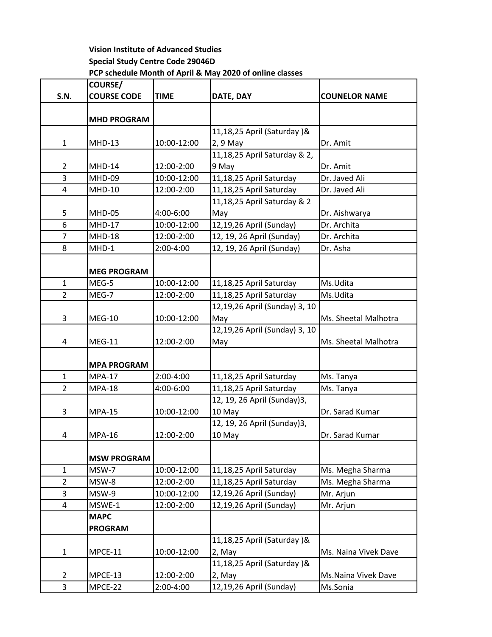## **Vision Institute of Advanced Studies Special Study Centre Code 29046D PCP schedule Month of April & May 2020 of online classes**

|                | <b>COURSE/</b>     |             |                               |                      |
|----------------|--------------------|-------------|-------------------------------|----------------------|
| <b>S.N.</b>    | <b>COURSE CODE</b> | <b>TIME</b> | DATE, DAY                     | <b>COUNELOR NAME</b> |
|                | <b>MHD PROGRAM</b> |             |                               |                      |
|                |                    |             | 11,18,25 April (Saturday) &   |                      |
| $\mathbf{1}$   | <b>MHD-13</b>      | 10:00-12:00 | 2, 9 May                      | Dr. Amit             |
|                |                    |             | 11,18,25 April Saturday & 2,  |                      |
| $\overline{2}$ | <b>MHD-14</b>      | 12:00-2:00  | 9 May                         | Dr. Amit             |
| 3              | MHD-09             | 10:00-12:00 | 11,18,25 April Saturday       | Dr. Javed Ali        |
| 4              | <b>MHD-10</b>      | 12:00-2:00  | 11,18,25 April Saturday       | Dr. Javed Ali        |
|                |                    |             | 11,18,25 April Saturday & 2   |                      |
| 5              | <b>MHD-05</b>      | 4:00-6:00   | May                           | Dr. Aishwarya        |
| 6              | <b>MHD-17</b>      | 10:00-12:00 | 12,19,26 April (Sunday)       | Dr. Archita          |
| $\overline{7}$ | <b>MHD-18</b>      | 12:00-2:00  | 12, 19, 26 April (Sunday)     | Dr. Archita          |
| 8              | $MHD-1$            | 2:00-4:00   | 12, 19, 26 April (Sunday)     | Dr. Asha             |
|                | <b>MEG PROGRAM</b> |             |                               |                      |
| $\mathbf{1}$   | MEG-5              | 10:00-12:00 | 11,18,25 April Saturday       | Ms.Udita             |
| $\overline{2}$ | MEG-7              | 12:00-2:00  | 11,18,25 April Saturday       | Ms.Udita             |
|                |                    |             | 12,19,26 April (Sunday) 3, 10 |                      |
| 3              | <b>MEG-10</b>      | 10:00-12:00 | May                           | Ms. Sheetal Malhotra |
|                |                    |             | 12,19,26 April (Sunday) 3, 10 |                      |
| 4              | <b>MEG-11</b>      | 12:00-2:00  | May                           | Ms. Sheetal Malhotra |
|                | <b>MPA PROGRAM</b> |             |                               |                      |
| 1              | <b>MPA-17</b>      | 2:00-4:00   | 11,18,25 April Saturday       | Ms. Tanya            |
| $\overline{2}$ | <b>MPA-18</b>      | 4:00-6:00   | 11,18,25 April Saturday       | Ms. Tanya            |
|                |                    |             | 12, 19, 26 April (Sunday)3,   |                      |
| 3              | <b>MPA-15</b>      | 10:00-12:00 | 10 May                        | Dr. Sarad Kumar      |
|                |                    |             | 12, 19, 26 April (Sunday)3,   |                      |
| 4              | <b>MPA-16</b>      | 12:00-2:00  | 10 May                        | Dr. Sarad Kumar      |
|                | <b>MSW PROGRAM</b> |             |                               |                      |
| 1              | MSW-7              | 10:00-12:00 | 11,18,25 April Saturday       | Ms. Megha Sharma     |
| $\overline{2}$ | MSW-8              | 12:00-2:00  | 11,18,25 April Saturday       | Ms. Megha Sharma     |
| 3              | MSW-9              | 10:00-12:00 | 12,19,26 April (Sunday)       | Mr. Arjun            |
| 4              | MSWE-1             | 12:00-2:00  | 12,19,26 April (Sunday)       | Mr. Arjun            |
|                | <b>MAPC</b>        |             |                               |                      |
|                | <b>PROGRAM</b>     |             |                               |                      |
|                |                    |             | 11,18,25 April (Saturday) &   |                      |
| $\mathbf{1}$   | MPCE-11            | 10:00-12:00 | 2, May                        | Ms. Naina Vivek Dave |
|                |                    |             | 11,18,25 April (Saturday)&    |                      |
| $\overline{2}$ | MPCE-13            | 12:00-2:00  | 2, May                        | Ms. Naina Vivek Dave |
| 3              | MPCE-22            | 2:00-4:00   | 12,19,26 April (Sunday)       | Ms.Sonia             |